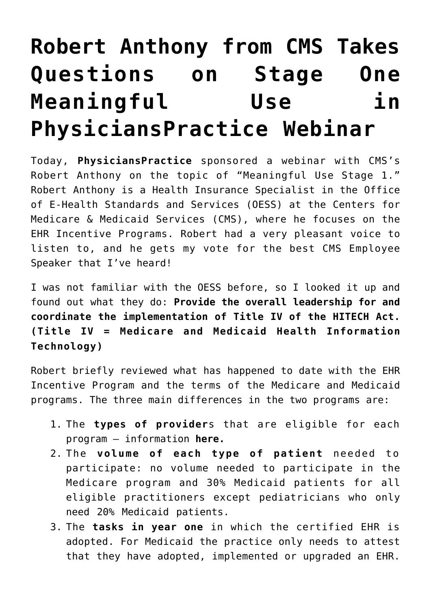# **[Robert Anthony from CMS Takes](https://managemypractice.com/robert-anthony-from-cms-takes-questions-on-stage-one-meaningful-use-in-physicianspractice-webinar/) [Questions on Stage One](https://managemypractice.com/robert-anthony-from-cms-takes-questions-on-stage-one-meaningful-use-in-physicianspractice-webinar/) [Meaningful Use in](https://managemypractice.com/robert-anthony-from-cms-takes-questions-on-stage-one-meaningful-use-in-physicianspractice-webinar/) [PhysiciansPractice Webinar](https://managemypractice.com/robert-anthony-from-cms-takes-questions-on-stage-one-meaningful-use-in-physicianspractice-webinar/)**

Today, **[PhysiciansPractice](http://www.physicianspractice.com/home)** sponsored a webinar with CMS's Robert Anthony on the topic of "Meaningful Use Stage 1." Robert Anthony is a Health Insurance Specialist in the Office of E-Health Standards and Services (OESS) at the Centers for Medicare & Medicaid Services (CMS), where he focuses on the EHR Incentive Programs. Robert had a very pleasant voice to listen to, and he gets my vote for the best CMS Employee Speaker that I've heard!

I was not familiar with the OESS before, so I looked it up and found out what they do: **Provide the overall leadership for and coordinate the implementation of Title IV of the HITECH Act. (Title IV = Medicare and Medicaid Health Information Technology)**

Robert briefly reviewed what has happened to date with the EHR Incentive Program and the terms of the Medicare and Medicaid programs. The three main differences in the two programs are:

- 1. The **types of provider**s that are eligible for each program – information **[here.](https://managemypractice.com/step-by-step-directions-for-getting-the-ehr-incentive-money-my-notes-from-last-weeks-cms-call/)**
- 2. The **volume of each type of patient** needed to participate: no volume needed to participate in the Medicare program and 30% Medicaid patients for all eligible practitioners except pediatricians who only need 20% Medicaid patients.
- 3. The **tasks in year one** in which the certified EHR is adopted. For Medicaid the practice only needs to attest that they have adopted, implemented or upgraded an EHR.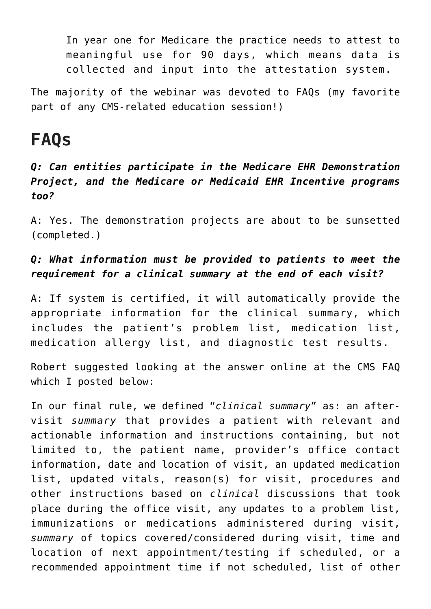In year one for Medicare the practice needs to attest to meaningful use for 90 days, which means data is collected and input into the attestation system.

The majority of the webinar was devoted to FAQs (my favorite part of any CMS-related education session!)

# **FAQs**

### *Q: Can entities participate in the Medicare EHR Demonstration Project, and the Medicare or Medicaid EHR Incentive programs too?*

A: Yes. The demonstration projects are about to be sunsetted (completed.)

# *Q: What information must be provided to patients to meet the requirement for a clinical summary at the end of each visit?*

A: If system is certified, it will automatically provide the appropriate information for the clinical summary, which includes the patient's problem list, medication list, medication allergy list, and diagnostic test results.

Robert suggested looking at the answer online at the CMS FAQ which I posted below:

In our final rule, we defined "*clinical summary*" as: an aftervisit *summary* that provides a patient with relevant and actionable information and instructions containing, but not limited to, the patient name, provider's office contact information, date and location of visit, an updated medication list, updated vitals, reason(s) for visit, procedures and other instructions based on *clinical* discussions that took place during the office visit, any updates to a problem list, immunizations or medications administered during visit, *summary* of topics covered/considered during visit, time and location of next appointment/testing if scheduled, or a recommended appointment time if not scheduled, list of other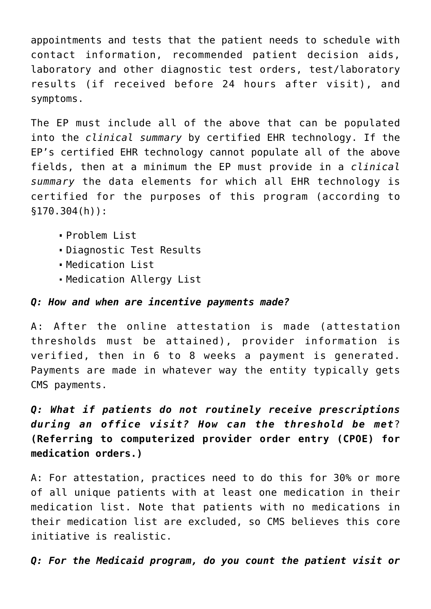appointments and tests that the patient needs to schedule with contact information, recommended patient decision aids, laboratory and other diagnostic test orders, test/laboratory results (if received before 24 hours after visit), and symptoms.

The EP must include all of the above that can be populated into the *clinical summary* by certified EHR technology. If the EP's certified EHR technology cannot populate all of the above fields, then at a minimum the EP must provide in a *clinical summary* the data elements for which all EHR technology is certified for the purposes of this program (according to §170.304(h)):

- Problem List
- Diagnostic Test Results
- Medication List
- Medication Allergy List

#### *Q: How and when are incentive payments made?*

A: After the online attestation is made (attestation thresholds must be attained), provider information is verified, then in 6 to 8 weeks a payment is generated. Payments are made in whatever way the entity typically gets CMS payments.

*Q: What if patients do not routinely receive prescriptions during an office visit? How can the threshold be met*? **(Referring to computerized provider order entry (CPOE) for medication orders.)**

A: For attestation, practices need to do this for 30% or more of all unique patients with at least one medication in their medication list. Note that patients with no medications in their medication list are excluded, so CMS believes this core initiative is realistic.

*Q: For the Medicaid program, do you count the patient visit or*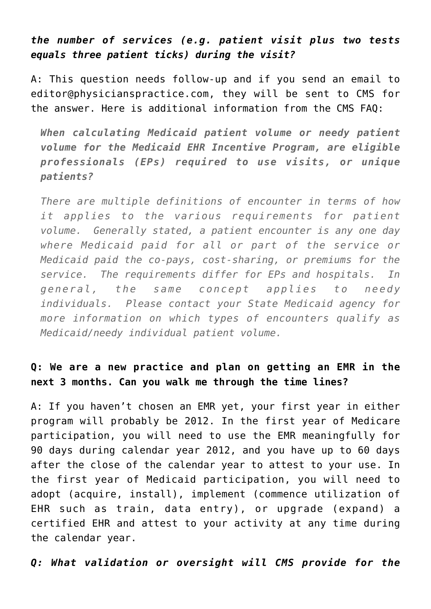#### *the number of services (e.g. patient visit plus two tests equals three patient ticks) during the visit?*

A: This question needs follow-up and if you send an email to [editor@physicianspractice.com,](mailto:editor@physicianspractice.com) they will be sent to CMS for the answer. Here is additional information from the CMS FAQ:

*When calculating Medicaid patient volume or needy patient volume for the Medicaid EHR Incentive Program, are eligible professionals (EPs) required to use visits, or unique patients?*

*There are multiple definitions of encounter in terms of how it applies to the various requirements for patient volume. Generally stated, a patient encounter is any one day where Medicaid paid for all or part of the service or Medicaid paid the co-pays, cost-sharing, or premiums for the service. The requirements differ for EPs and hospitals. In general, the same concept applies to needy individuals. Please contact your State Medicaid agency for more information on which types of encounters qualify as Medicaid/needy individual patient volume.*

#### **Q: We are a new practice and plan on getting an EMR in the next 3 months. Can you walk me through the time lines?**

A: If you haven't chosen an EMR yet, your first year in either program will probably be 2012. In the first year of Medicare participation, you will need to use the EMR meaningfully for 90 days during calendar year 2012, and you have up to 60 days after the close of the calendar year to attest to your use. In the first year of Medicaid participation, you will need to adopt (acquire, install), implement (commence utilization of EHR such as train, data entry), or upgrade (expand) a certified EHR and attest to your activity at any time during the calendar year.

#### *Q: What validation or oversight will CMS provide for the*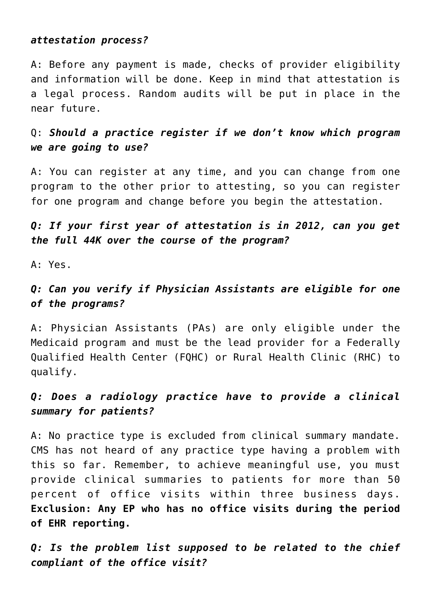#### *attestation process?*

A: Before any payment is made, checks of provider eligibility and information will be done. Keep in mind that attestation is a legal process. Random audits will be put in place in the near future.

### Q: *Should a practice register if we don't know which program we are going to use?*

A: You can register at any time, and you can change from one program to the other prior to attesting, so you can register for one program and change before you begin the attestation.

#### *Q: If your first year of attestation is in 2012, can you get the full 44K over the course of the program?*

A: Yes.

# *Q: Can you verify if Physician Assistants are eligible for one of the programs?*

A: Physician Assistants (PAs) are only eligible under the Medicaid program and must be the lead provider for a Federally Qualified Health Center (FQHC) or Rural Health Clinic (RHC) to qualify.

# *Q: Does a radiology practice have to provide a clinical summary for patients?*

A: No practice type is excluded from clinical summary mandate. CMS has not heard of any practice type having a problem with this so far. Remember, to achieve meaningful use, you must provide clinical summaries to patients for more than 50 percent of office visits within three business days. **Exclusion: Any EP who has no office visits during the period of EHR reporting.**

*Q: Is the problem list supposed to be related to the chief compliant of the office visit?*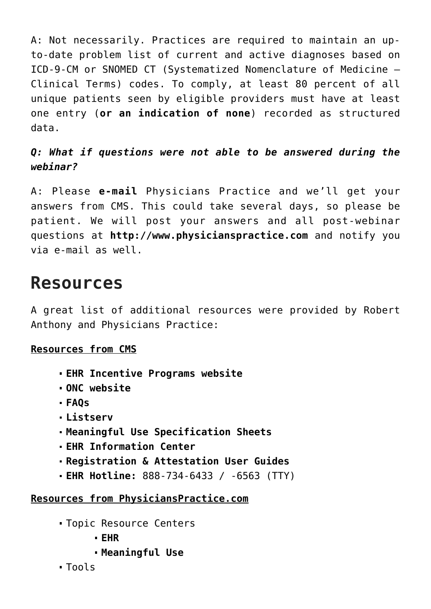A: Not necessarily. Practices are required to maintain an upto-date problem list of current and active diagnoses based on ICD-9-CM or SNOMED CT (Systematized Nomenclature of Medicine – Clinical Terms) codes. To comply, at least 80 percent of all unique patients seen by eligible providers must have at least one entry (**or an indication of none**) recorded as structured data.

# *Q: What if questions were not able to be answered during the webinar?*

A: Please **[e-mail](mailto:editor@physicianspractice.com?subject=Webinar%20Follow-Up%20/%20Question%20for%20CMS)** Physicians Practice and we'll get your answers from CMS. This could take several days, so please be patient. We will post your answers and all post-webinar questions at **[http://www.physicianspractice.com](http://www.physicianspractice.com/)** and notify you via e-mail as well.

# **Resources**

A great list of additional resources were provided by Robert Anthony and Physicians Practice:

#### **Resources from CMS**

- **[EHR Incentive Programs website](http://www.CMS.gov/EHRIncentivePrograms)**
- **[ONC website](http://www.healthit.gov/)**
- **[FAQs](http://www.cms.gov/EHRIncentivePrograms/95_FAQ.asp#TopOfPage)**
- **[Listserv](http://www.cms.gov/EHRIncentivePrograms/65_CMS_EHR_Listserv.asp#TopOfPage)**
- **[Meaningful Use Specification Sheets](http://www.cms.gov/EHRIncentivePrograms/30_Meaningful_Use.asp#TopOfPage)**
- **[EHR Information Center](http://www.cms.gov/EHRIncentivePrograms/25_Certification.asp#TopOfPage)**
- **[Registration & Attestation User Guides](http://www.cms.gov/EHRIncentivePrograms/20_RegistrationandAttestation.asp)**
- **EHR Hotline:** [888-734-6433](#page--1-0) / -6563 (TTY)

#### **Resources from PhysiciansPractice.com**

- Topic Resource Centers
	- **[EHR](http://www.physicianspractice.com/ehr)**
	- **[Meaningful Use](http://www.physicianspractice.com/meaningful-use)**
- Tools